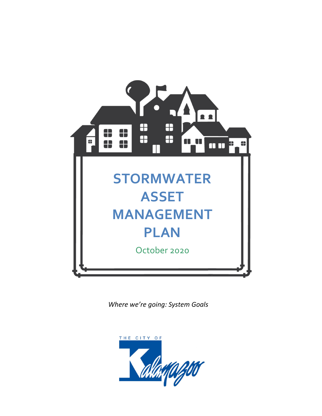

*Where we're going: System Goals* 

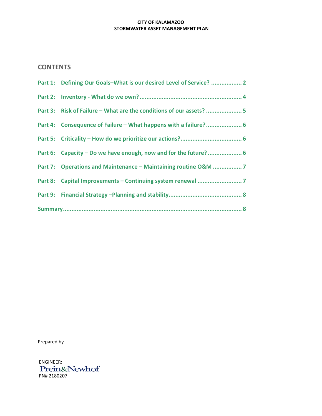# **CONTENTS**

|  | Part 1: Defining Our Goals-What is our desired Level of Service?  2 |
|--|---------------------------------------------------------------------|
|  |                                                                     |
|  | Part 3: Risk of Failure – What are the conditions of our assets?  5 |
|  | Part 4: Consequence of Failure - What happens with a failure? 6     |
|  |                                                                     |
|  | Part 6: Capacity - Do we have enough, now and for the future? 6     |
|  | Part 7: Operations and Maintenance - Maintaining routine O&M 7      |
|  |                                                                     |
|  |                                                                     |
|  |                                                                     |

Prepared by

ENGINEER:<br>Prein&Newhof PN# 2180207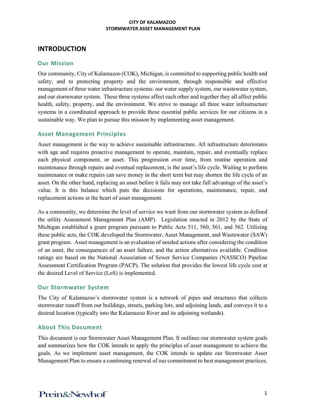# **INTRODUCTION**

## **Our Mission**

Our community, City of Kalamazoo (COK), Michigan, is committed to supporting public health and safety, and to protecting property and the environment, through responsible and effective management of three water infrastructure systems: our water supply system, our wastewater system, and our stormwater system. These three systems affect each other and together they all affect public health, safety, property, and the environment. We strive to manage all three water infrastructure systems in a coordinated approach to provide these essential public services for our citizens in a sustainable way. We plan to pursue this mission by implementing asset management.

### **Asset Management Principles**

Asset management is the way to achieve sustainable infrastructure. All infrastructure deteriorates with age and requires proactive management to operate, maintain, repair, and eventually replace each physical component, or asset. This progression over time, from routine operation and maintenance through repairs and eventual replacement, is the asset's life cycle. Waiting to perform maintenance or make repairs can save money in the short term but may shorten the life cycle of an asset. On the other hand, replacing an asset before it fails may not take full advantage of the asset's value. It is this balance which puts the decisions for operations, maintenance, repair, and replacement actions at the heart of asset management.

As a community, we determine the level of service we want from our stormwater system as defined the utility Assessment Management Plan (AMP). Legislation enacted in 2012 by the State of Michigan established a grant program pursuant to Public Acts 511, 560, 561, and 562. Utilizing these public acts, the COK developed the Stormwater, Asset Management, and Wastewater (SAW) grant program. Asset management is an evaluation of needed actions after considering the condition of an asset, the consequences of an asset failure, and the action alternatives available. Condition ratings are based on the National Association of Sewer Service Companies (NASSCO) Pipeline Assessment Certification Program (PACP). The solution that provides the lowest life cycle cost at the desired Level of Service (LoS) is implemented.

## **Our Stormwater System**

The City of Kalamazoo's stormwater system is a network of pipes and structures that collects stormwater runoff from our buildings, streets, parking lots, and adjoining lands, and conveys it to a desired location (typically into the Kalamazoo River and its adjoining wetlands).

## **About This Document**

This document is our Stormwater Asset Management Plan. It outlines our stormwater system goals and summarizes how the COK intends to apply the principles of asset management to achieve the goals. As we implement asset management, the COK intends to update our Stormwater Asset Management Plan to ensure a continuing renewal of our commitment to best management practices.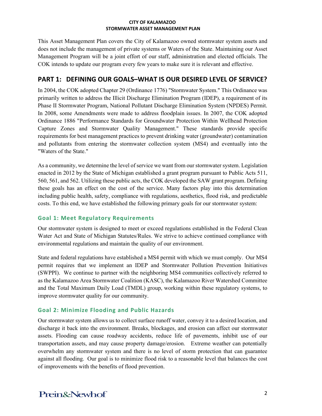This Asset Management Plan covers the City of Kalamazoo owned stormwater system assets and does not include the management of private systems or Waters of the State. Maintaining our Asset Management Program will be a joint effort of our staff, administration and elected officials. The COK intends to update our program every few years to make sure it is relevant and effective.

# **PART 1: DEFINING OUR GOALS–WHAT IS OUR DESIRED LEVEL OF SERVICE?**

In 2004, the COK adopted Chapter 29 (Ordinance 1776) "Stormwater System." This Ordinance was primarily written to address the Illicit Discharge Elimination Program (IDEP), a requirement of its Phase II Stormwater Program, National Pollutant Discharge Elimination System (NPDES) Permit. In 2008, some Amendments were made to address floodplain issues. In 2007, the COK adopted Ordinance 1886 "Performance Standards for Groundwater Protection Within Wellhead Protection Capture Zones and Stormwater Quality Management." These standards provide specific requirements for best management practices to prevent drinking water (groundwater) contamination and pollutants from entering the stormwater collection system (MS4) and eventually into the "Waters of the State."

As a community, we determine the level of service we want from our stormwater system. Legislation enacted in 2012 by the State of Michigan established a grant program pursuant to Public Acts 511, 560, 561, and 562. Utilizing these public acts, the COK developed the SAW grant program. Defining these goals has an effect on the cost of the service. Many factors play into this determination including public health, safety, compliance with regulations, aesthetics, flood risk, and predictable costs. To this end, we have established the following primary goals for our stormwater system:

# **Goal 1: Meet Regulatory Requirements**

Our stormwater system is designed to meet or exceed regulations established in the Federal Clean Water Act and State of Michigan Statutes/Rules. We strive to achieve continued compliance with environmental regulations and maintain the quality of our environment.

State and federal regulations have established a MS4 permit with which we must comply. Our MS4 permit requires that we implement an IDEP and Stormwater Pollution Prevention Initiatives (SWPPI). We continue to partner with the neighboring MS4 communities collectively referred to as the Kalamazoo Area Stormwater Coalition (KASC), the Kalamazoo River Watershed Committee and the Total Maximum Daily Load (TMDL) group, working within these regulatory systems, to improve stormwater quality for our community.

# **Goal 2: Minimize Flooding and Public Hazards**

Our stormwater system allows us to collect surface runoff water, convey it to a desired location, and discharge it back into the environment. Breaks, blockages, and erosion can affect our stormwater assets. Flooding can cause roadway accidents, reduce life of pavements, inhibit use of our transportation assets, and may cause property damage/erosion. Extreme weather can potentially overwhelm any stormwater system and there is no level of storm protection that can guarantee against all flooding. Our goal is to minimize flood risk to a reasonable level that balances the cost of improvements with the benefits of flood prevention.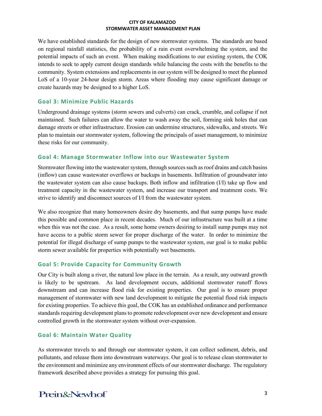We have established standards for the design of new stormwater systems. The standards are based on regional rainfall statistics, the probability of a rain event overwhelming the system, and the potential impacts of such an event. When making modifications to our existing system, the COK intends to seek to apply current design standards while balancing the costs with the benefits to the community. System extensions and replacements in our system will be designed to meet the planned LoS of a 10-year 24-hour design storm. Areas where flooding may cause significant damage or create hazards may be designed to a higher LoS.

## **Goal 3: Minimize Public Hazards**

Underground drainage systems (storm sewers and culverts) can crack, crumble, and collapse if not maintained. Such failures can allow the water to wash away the soil, forming sink holes that can damage streets or other infrastructure. Erosion can undermine structures, sidewalks, and streets. We plan to maintain our stormwater system, following the principals of asset management, to minimize these risks for our community.

### **Goal 4: Manage Stormwater Inflow into our Wastewater System**

Stormwater flowing into the wastewater system, through sources such as roof drains and catch basins (inflow) can cause wastewater overflows or backups in basements. Infiltration of groundwater into the wastewater system can also cause backups. Both inflow and infiltration (I/I) take up flow and treatment capacity in the wastewater system, and increase our transport and treatment costs. We strive to identify and disconnect sources of I/I from the wastewater system.

We also recognize that many homeowners desire dry basements, and that sump pumps have made this possible and common place in recent decades. Much of our infrastructure was built at a time when this was not the case. As a result, some home owners desiring to install sump pumps may not have access to a public storm sewer for proper discharge of the water. In order to minimize the potential for illegal discharge of sump pumps to the wastewater system, our goal is to make public storm sewer available for properties with potentially wet basements.

## **Goal 5: Provide Capacity for Community Growth**

Our City is built along a river, the natural low place in the terrain. As a result, any outward growth is likely to be upstream. As land development occurs, additional stormwater runoff flows downstream and can increase flood risk for existing properties. Our goal is to ensure proper management of stormwater with new land development to mitigate the potential flood risk impacts for existing properties. To achieve this goal, the COK has an established ordinance and performance standards requiring development plans to promote redevelopment over new development and ensure controlled growth in the stormwater system without over-expansion.

## **Goal 6: Maintain Water Quality**

As stormwater travels to and through our stormwater system, it can collect sediment, debris, and pollutants, and release them into downstream waterways. Our goal is to release clean stormwater to the environment and minimize any environment effects of our stormwater discharge. The regulatory framework described above provides a strategy for pursuing this goal.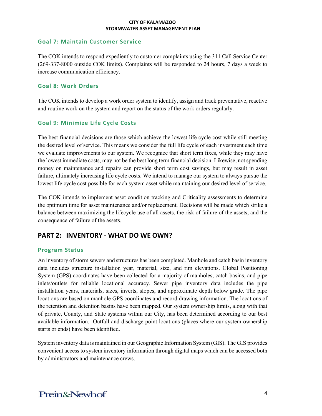### **Goal 7: Maintain Customer Service**

The COK intends to respond expediently to customer complaints using the 311 Call Service Center (269-337-8000 outside COK limits). Complaints will be responded to 24 hours, 7 days a week to increase communication efficiency.

## **Goal 8: Work Orders**

The COK intends to develop a work order system to identify, assign and track preventative, reactive and routine work on the system and report on the status of the work orders regularly.

# **Goal 9: Minimize Life Cycle Costs**

The best financial decisions are those which achieve the lowest life cycle cost while still meeting the desired level of service. This means we consider the full life cycle of each investment each time we evaluate improvements to our system. We recognize that short term fixes, while they may have the lowest immediate costs, may not be the best long term financial decision. Likewise, not spending money on maintenance and repairs can provide short term cost savings, but may result in asset failure, ultimately increasing life cycle costs. We intend to manage our system to always pursue the lowest life cycle cost possible for each system asset while maintaining our desired level of service.

The COK intends to implement asset condition tracking and Criticality assessments to determine the optimum time for asset maintenance and/or replacement. Decisions will be made which strike a balance between maximizing the lifecycle use of all assets, the risk of failure of the assets, and the consequence of failure of the assets.

# **PART 2: INVENTORY - WHAT DO WE OWN?**

## **Program Status**

An inventory of storm sewers and structures has been completed. Manhole and catch basin inventory data includes structure installation year, material, size, and rim elevations. Global Positioning System (GPS) coordinates have been collected for a majority of manholes, catch basins, and pipe inlets/outlets for reliable locational accuracy. Sewer pipe inventory data includes the pipe installation years, materials, sizes, inverts, slopes, and approximate depth below grade. The pipe locations are based on manhole GPS coordinates and record drawing information. The locations of the retention and detention basins have been mapped. Our system ownership limits, along with that of private, County, and State systems within our City, has been determined according to our best available information. Outfall and discharge point locations (places where our system ownership starts or ends) have been identified.

System inventory data is maintained in our Geographic Information System (GIS). The GIS provides convenient access to system inventory information through digital maps which can be accessed both by administrators and maintenance crews.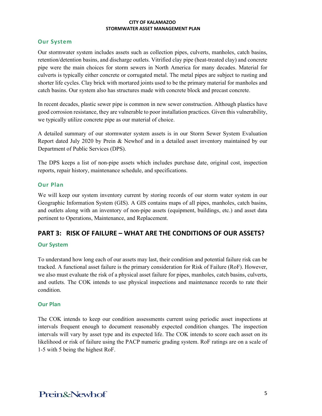#### **Our System**

Our stormwater system includes assets such as collection pipes, culverts, manholes, catch basins, retention/detention basins, and discharge outlets. Vitrified clay pipe (heat-treated clay) and concrete pipe were the main choices for storm sewers in North America for many decades. Material for culverts is typically either concrete or corrugated metal. The metal pipes are subject to rusting and shorter life cycles. Clay brick with mortared joints used to be the primary material for manholes and catch basins. Our system also has structures made with concrete block and precast concrete.

In recent decades, plastic sewer pipe is common in new sewer construction. Although plastics have good corrosion resistance, they are vulnerable to poor installation practices. Given this vulnerability, we typically utilize concrete pipe as our material of choice.

A detailed summary of our stormwater system assets is in our Storm Sewer System Evaluation Report dated July 2020 by Prein & Newhof and in a detailed asset inventory maintained by our Department of Public Services (DPS).

The DPS keeps a list of non-pipe assets which includes purchase date, original cost, inspection reports, repair history, maintenance schedule, and specifications.

#### **Our Plan**

We will keep our system inventory current by storing records of our storm water system in our Geographic Information System (GIS). A GIS contains maps of all pipes, manholes, catch basins, and outlets along with an inventory of non-pipe assets (equipment, buildings, etc.) and asset data pertinent to Operations, Maintenance, and Replacement.

# **PART 3: RISK OF FAILURE – WHAT ARE THE CONDITIONS OF OUR ASSETS?**

#### **Our System**

To understand how long each of our assets may last, their condition and potential failure risk can be tracked. A functional asset failure is the primary consideration for Risk of Failure (RoF). However, we also must evaluate the risk of a physical asset failure for pipes, manholes, catch basins, culverts, and outlets. The COK intends to use physical inspections and maintenance records to rate their condition.

#### **Our Plan**

The COK intends to keep our condition assessments current using periodic asset inspections at intervals frequent enough to document reasonably expected condition changes. The inspection intervals will vary by asset type and its expected life. The COK intends to score each asset on its likelihood or risk of failure using the PACP numeric grading system. RoF ratings are on a scale of 1-5 with 5 being the highest RoF.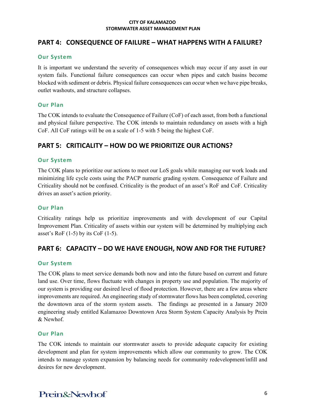# **PART 4: CONSEQUENCE OF FAILURE – WHAT HAPPENS WITH A FAILURE?**

#### **Our System**

It is important we understand the severity of consequences which may occur if any asset in our system fails. Functional failure consequences can occur when pipes and catch basins become blocked with sediment or debris. Physical failure consequences can occur when we have pipe breaks, outlet washouts, and structure collapses.

## **Our Plan**

The COK intends to evaluate the Consequence of Failure (CoF) of each asset, from both a functional and physical failure perspective. The COK intends to maintain redundancy on assets with a high CoF. All CoF ratings will be on a scale of 1-5 with 5 being the highest CoF.

# **PART 5: CRITICALITY – HOW DO WE PRIORITIZE OUR ACTIONS?**

## **Our System**

The COK plans to prioritize our actions to meet our LoS goals while managing our work loads and minimizing life cycle costs using the PACP numeric grading system. Consequence of Failure and Criticality should not be confused. Criticality is the product of an asset's RoF and CoF. Criticality drives an asset's action priority.

## **Our Plan**

Criticality ratings help us prioritize improvements and with development of our Capital Improvement Plan. Criticality of assets within our system will be determined by multiplying each asset's RoF  $(1-5)$  by its CoF  $(1-5)$ .

# **PART 6: CAPACITY – DO WE HAVE ENOUGH, NOW AND FOR THE FUTURE?**

## **Our System**

The COK plans to meet service demands both now and into the future based on current and future land use. Over time, flows fluctuate with changes in property use and population. The majority of our system is providing our desired level of flood protection. However, there are a few areas where improvements are required. An engineering study of stormwater flows has been completed, covering the downtown area of the storm system assets. The findings ae presented in a January 2020 engineering study entitled Kalamazoo Downtown Area Storm System Capacity Analysis by Prein & Newhof.

#### **Our Plan**

The COK intends to maintain our stormwater assets to provide adequate capacity for existing development and plan for system improvements which allow our community to grow. The COK intends to manage system expansion by balancing needs for community redevelopment/infill and desires for new development.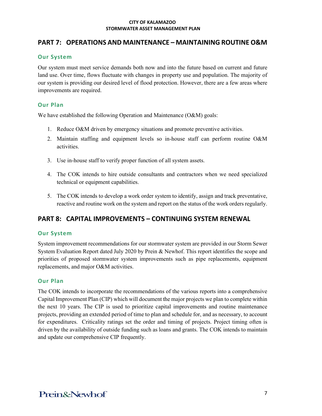# **PART 7: OPERATIONS AND MAINTENANCE – MAINTAINING ROUTINE O&M**

### **Our System**

Our system must meet service demands both now and into the future based on current and future land use. Over time, flows fluctuate with changes in property use and population. The majority of our system is providing our desired level of flood protection. However, there are a few areas where improvements are required.

## **Our Plan**

We have established the following Operation and Maintenance (O&M) goals:

- 1. Reduce O&M driven by emergency situations and promote preventive activities.
- 2. Maintain staffing and equipment levels so in-house staff can perform routine O&M activities.
- 3. Use in-house staff to verify proper function of all system assets.
- 4. The COK intends to hire outside consultants and contractors when we need specialized technical or equipment capabilities.
- 5. The COK intends to develop a work order system to identify, assign and track preventative, reactive and routine work on the system and report on the status of the work orders regularly.

# **PART 8: CAPITAL IMPROVEMENTS – CONTINUING SYSTEM RENEWAL**

## **Our System**

System improvement recommendations for our stormwater system are provided in our Storm Sewer System Evaluation Report dated July 2020 by Prein & Newhof. This report identifies the scope and priorities of proposed stormwater system improvements such as pipe replacements, equipment replacements, and major O&M activities.

## **Our Plan**

The COK intends to incorporate the recommendations of the various reports into a comprehensive Capital Improvement Plan (CIP) which will document the major projects we plan to complete within the next 10 years. The CIP is used to prioritize capital improvements and routine maintenance projects, providing an extended period of time to plan and schedule for, and as necessary, to account for expenditures. Criticality ratings set the order and timing of projects. Project timing often is driven by the availability of outside funding such as loans and grants. The COK intends to maintain and update our comprehensive CIP frequently.